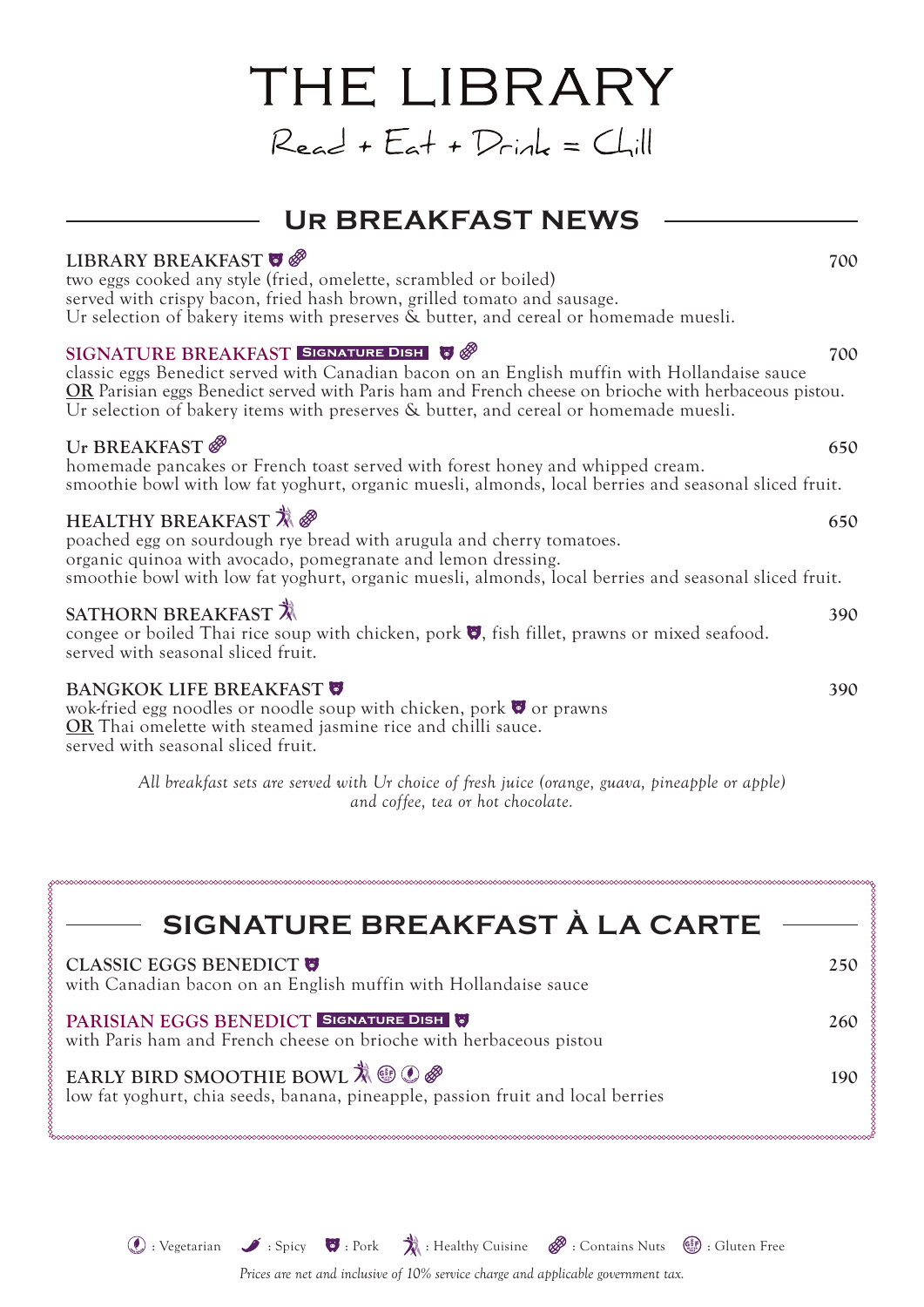### **Ur BREAKFAST NEWS**

THE LIBRARY

 $Read + E_{at} + D_{cink} = Chill$ 

### **LIBRARY BREAKFAST**  $\bullet$   $\bullet$   $\bullet$

two eggs cooked any style (fried, omelette, scrambled or boiled) served with crispy bacon, fried hash brown, grilled tomato and sausage. Ur selection of bakery items with preserves & butter, and cereal or homemade muesli.

#### **SIGNATURE BREAKFAST SIGNATURE DISH & @**

classic eggs Benedict served with Canadian bacon on an English muffin with Hollandaise sauce **OR** Parisian eggs Benedict served with Paris ham and French cheese on brioche with herbaceous pistou. Ur selection of bakery items with preserves & butter, and cereal or homemade muesli.

#### Ur BREAKFAST  $\mathscr{B}$  650

homemade pancakes or French toast served with forest honey and whipped cream. smoothie bowl with low fat yoghurt, organic muesli, almonds, local berries and seasonal sliced fruit.

### HEALTHY BREAKFAST  $\mathbb{X} \otimes$  650

poached egg on sourdough rye bread with arugula and cherry tomatoes. organic quinoa with avocado, pomegranate and lemon dressing. smoothie bowl with low fat yoghurt, organic muesli, almonds, local berries and seasonal sliced fruit.

#### **SATHORN BREAKFAST**  $\vec{X}$  390

congee or boiled Thai rice soup with chicken, pork  $\bullet$ , fish fillet, prawns or mixed seafood. served with seasonal sliced fruit.

#### **BANGKOK LIFE BREAKFAST**  $\bullet$  390

wok-fried egg noodles or noodle soup with chicken, pork  $\bullet$  or prawns **OR** Thai omelette with steamed jasmine rice and chilli sauce. served with seasonal sliced fruit.

> *All breakfast sets are served with Ur choice of fresh juice (orange, guava, pineapple or apple) and coffee, tea or hot chocolate.*

| SIGNATURE BREAKFAST À LA CARTE -                                                                                                                       |     |
|--------------------------------------------------------------------------------------------------------------------------------------------------------|-----|
| <b>CLASSIC EGGS BENEDICT @</b><br>with Canadian bacon on an English muffin with Hollandaise sauce                                                      | 250 |
| PARISIAN EGGS BENEDICT SIGNATURE DISH<br>with Paris ham and French cheese on brioche with herbaceous pistou                                            | 260 |
| EARLY BIRD SMOOTHIE BOWL $\mathbb{R} \oplus \mathbb{C} \mathscr{B}$<br>low fat yoghurt, chia seeds, banana, pineapple, passion fruit and local berries | 190 |

 $\mathbb{Q}:$  Vegetarian  $\mathscr{I}:$  Spicy  $\ddot{\mathscr{I}}:$  Pork  $\ddot{\mathscr{I}}:$  Healthy Cuisine  $\mathscr{B}:$  Contains Nuts  $\ddot{\mathscr{I}}:$  Gluten Free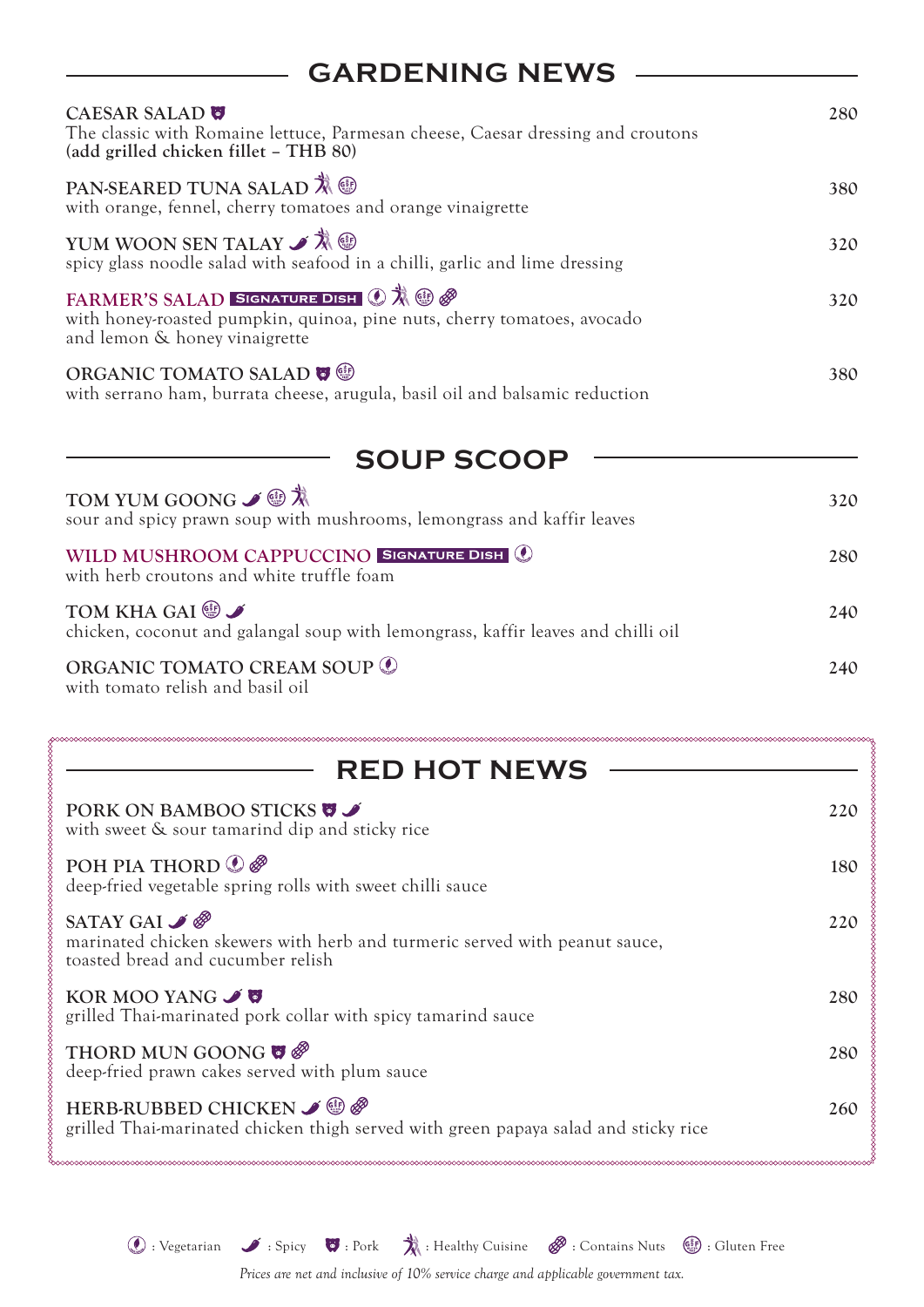# **GARDENING NEWS**

| <b>CAESAR SALAD</b><br>The classic with Romaine lettuce, Parmesan cheese, Caesar dressing and croutons<br>(add grilled chicken fillet - THB 80)         | 280 |
|---------------------------------------------------------------------------------------------------------------------------------------------------------|-----|
| PAN-SEARED TUNA SALAD <b>X</b> <sup>®</sup><br>with orange, fennel, cherry tomatoes and orange vinaigrette                                              | 380 |
| YUM WOON SEN TALAY $\mathscr{I} \overset{\ast}{\mathcal{R}}$ $\circledR$<br>spicy glass noodle salad with seafood in a chilli, garlic and lime dressing | 320 |
| FARMER'S SALAD SIGNATURE DISH ① 欢 ③ @<br>with honey-roasted pumpkin, quinoa, pine nuts, cherry tomatoes, avocado<br>and lemon & honey vinaigrette       | 320 |
| ORGANIC TOMATO SALAD $\blacksquare$<br>with serrano ham, burrata cheese, arugula, basil oil and balsamic reduction                                      | 380 |

| <b>SOUP SCOOP</b>                                                                                         |     |
|-----------------------------------------------------------------------------------------------------------|-----|
| TOM YUM GOONG ✔ <sup>● </sup> *<br>sour and spicy prawn soup with mushrooms, lemongrass and kaffir leaves | 320 |
| WILD MUSHROOM CAPPUCCINO SIGNATURE DISH<br>with herb croutons and white truffle foam                      | 280 |
| TOM KHA GAI ®<br>chicken, coconut and galangal soup with lemongrass, kaffir leaves and chilli oil         | 240 |
| ORGANIC TOMATO CREAM SOUP ©<br>with tomato relish and basil oil                                           | 240 |

| <b>RED HOT NEWS</b>                                                                                                                        |     |
|--------------------------------------------------------------------------------------------------------------------------------------------|-----|
| PORK ON BAMBOO STICKS <b>W</b><br>with sweet & sour tamarind dip and sticky rice                                                           | 220 |
| POH PIA THORD $\mathcal{O}$<br>deep-fried vegetable spring rolls with sweet chilli sauce                                                   | 180 |
| SATAY GAI $\mathscr{I}$<br>marinated chicken skewers with herb and turmeric served with peanut sauce,<br>toasted bread and cucumber relish | 220 |
| KOR MOO YANG $\mathscr I$<br>grilled Thai-marinated pork collar with spicy tamarind sauce                                                  | 280 |
| THORD MUN GOONG $\bullet$<br>deep-fried prawn cakes served with plum sauce                                                                 | 280 |
| HERB-RUBBED CHICKEN ✔ ®<br>grilled Thai-marinated chicken thigh served with green papaya salad and sticky rice                             | 260 |

 $\mathcal{O}:$  Vegetarian  $\mathcal{I}:$  Spicy  $\mathcal{O}:$  Pork  $\mathcal{V}:$  Healthy Cuisine  $\mathscr{P}:$  Contains Nuts  $\mathscr{G}:$  Gluten Free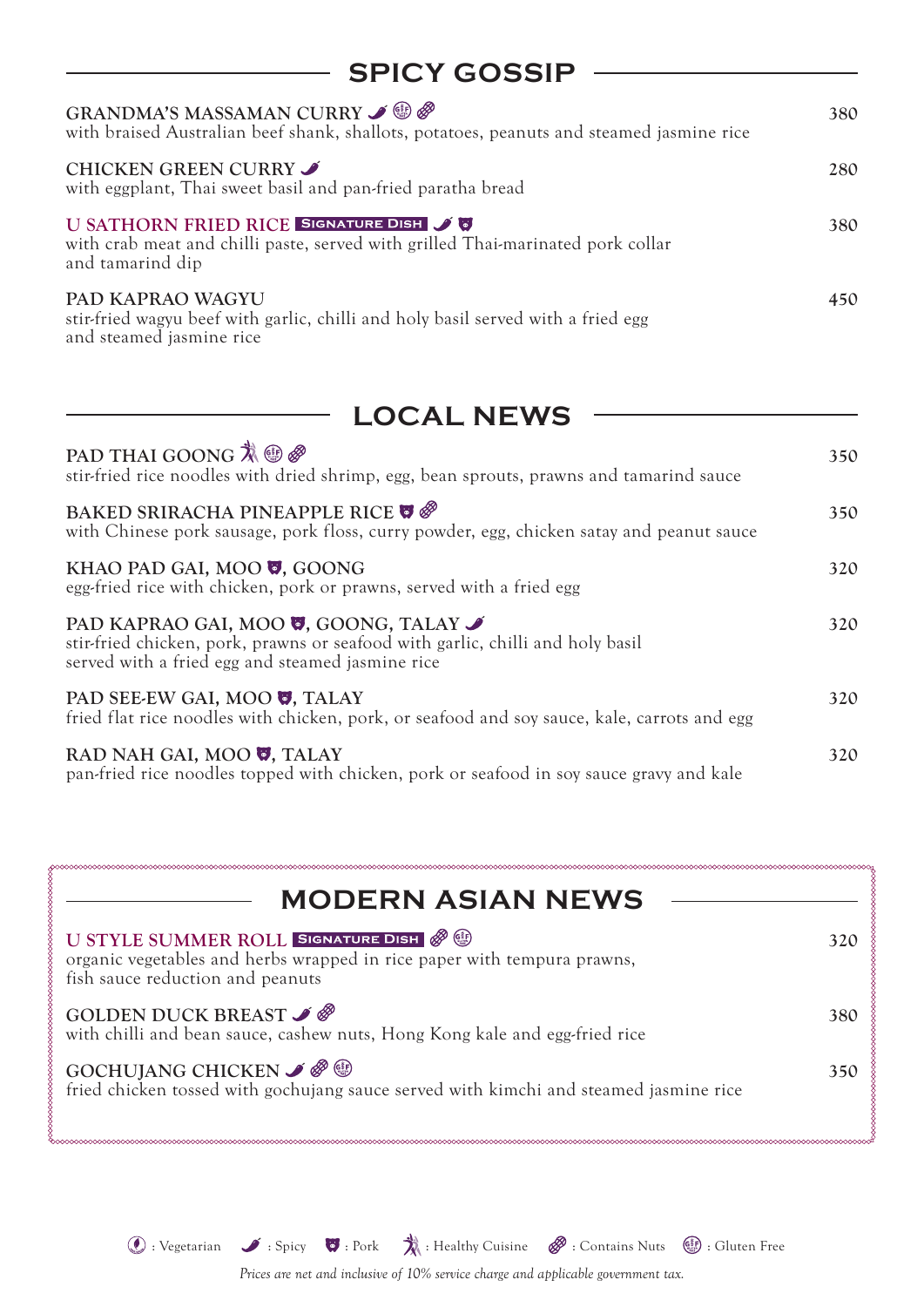| <b>SPICY GOSSIP</b>                                                                                                                           |     |
|-----------------------------------------------------------------------------------------------------------------------------------------------|-----|
| GRANDMA'S MASSAMAN CURRY J ®<br>with braised Australian beef shank, shallots, potatoes, peanuts and steamed jasmine rice                      | 380 |
| CHICKEN GREEN CURRY<br>with eggplant, Thai sweet basil and pan-fried paratha bread                                                            | 280 |
| U SATHORN FRIED RICE SIGNATURE DISH JU<br>with crab meat and chilli paste, served with grilled Thai-marinated pork collar<br>and tamarind dip | 380 |
| PAD KAPRAO WAGYU<br>stir-fried wagyu beef with garlic, chilli and holy basil served with a fried egg<br>and steamed jasmine rice              | 450 |

### **LOCAL NEWS**

| PAD THAI GOONG $\ddot{\lambda} \circledast \mathscr{D}$<br>stir-fried rice noodles with dried shrimp, egg, bean sprouts, prawns and tamarind sauce                                | 350 |
|-----------------------------------------------------------------------------------------------------------------------------------------------------------------------------------|-----|
| BAKED SRIRACHA PINEAPPLE RICE @<br>with Chinese pork sausage, pork floss, curry powder, egg, chicken satay and peanut sauce                                                       | 350 |
| KHAO PAD GAI, MOO <b>U</b> , GOONG<br>egg-fried rice with chicken, pork or prawns, served with a fried egg                                                                        | 320 |
| PAD KAPRAO GAI, MOO <b>V</b> , GOONG, TALAY<br>stir-fried chicken, pork, prawns or seafood with garlic, chilli and holy basil<br>served with a fried egg and steamed jasmine rice | 320 |
| PAD SEE-EW GAI, MOO <b>U</b> , TALAY<br>fried flat rice noodles with chicken, pork, or seafood and soy sauce, kale, carrots and egg                                               | 320 |
| RAD NAH GAI, MOO <b>W</b> , TALAY<br>pan-fried rice noodles topped with chicken, pork or seafood in soy sauce gravy and kale                                                      | 320 |

| <b>MODERN ASIAN NEWS</b>                                                                                                                              |     |
|-------------------------------------------------------------------------------------------------------------------------------------------------------|-----|
| U STYLE SUMMER ROLL SIGNATURE DISH & O<br>organic vegetables and herbs wrapped in rice paper with tempura prawns,<br>fish sauce reduction and peanuts | 32C |
| GOLDEN DUCK BREAST $\mathscr{I}$<br>with chilli and bean sauce, cashew nuts, Hong Kong kale and egg-fried rice                                        | 380 |
| GOCHUJANG CHICKEN $\mathscr{I}$ $\mathscr{P}$<br>fried chicken tossed with gochujang sauce served with kimchi and steamed jasmine rice                | 350 |

 $\mathcal{O}:$  Vegetarian  $\mathcal{I}:$  Spicy  $\mathcal{O}:$  Pork  $\mathcal{V}:$  Healthy Cuisine  $\mathscr{P}:$  Contains Nuts  $\mathscr{G}:$  Gluten Free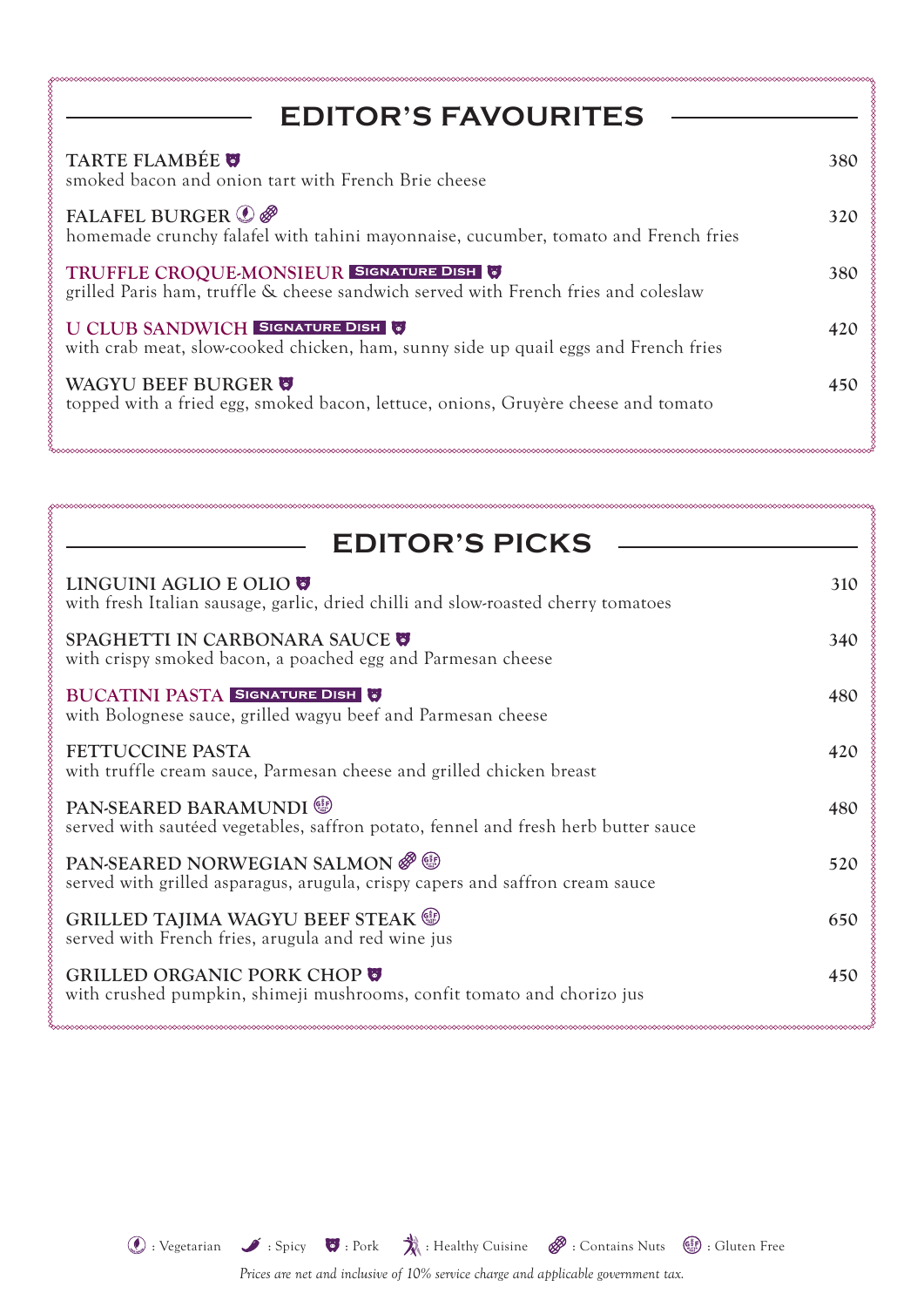| <b>EDITOR'S FAVOURITES</b>                                                                                                   |     |
|------------------------------------------------------------------------------------------------------------------------------|-----|
| TARTE FLAMBÉE<br>smoked bacon and onion tart with French Brie cheese                                                         | 380 |
| FALAFEL BURGER <b>O</b><br>homemade crunchy falafel with tahini mayonnaise, cucumber, tomato and French fries                | 320 |
| TRUFFLE CROQUE-MONSIEUR SIGNATURE DISH<br>grilled Paris ham, truffle & cheese sandwich served with French fries and coleslaw | 380 |
| U CLUB SANDWICH SIGNATURE DISH<br>with crab meat, slow-cooked chicken, ham, sunny side up quail eggs and French fries        | 420 |
| WAGYU BEEF BURGER<br>topped with a fried egg, smoked bacon, lettuce, onions, Gruyère cheese and tomato                       | 450 |

| <b>EDITOR'S PICKS</b>                                                                                          |     |
|----------------------------------------------------------------------------------------------------------------|-----|
| LINGUINI AGLIO E OLIO ♥<br>with fresh Italian sausage, garlic, dried chilli and slow-roasted cherry tomatoes   | 310 |
| SPAGHETTI IN CARBONARA SAUCE @<br>with crispy smoked bacon, a poached egg and Parmesan cheese                  | 340 |
| <b>BUCATINI PASTA SIGNATURE DISH &amp;</b><br>with Bolognese sauce, grilled wagyu beef and Parmesan cheese     | 480 |
| <b>FETTUCCINE PASTA</b><br>with truffle cream sauce, Parmesan cheese and grilled chicken breast                | 420 |
| PAN-SEARED BARAMUNDI ®<br>served with sautéed vegetables, saffron potato, fennel and fresh herb butter sauce   | 480 |
| PAN-SEARED NORWEGIAN SALMON &<br>served with grilled asparagus, arugula, crispy capers and saffron cream sauce | 520 |
| GRILLED TAJIMA WAGYU BEEF STEAK S<br>served with French fries, arugula and red wine jus                        | 650 |
| GRILLED ORGANIC PORK CHOP<br>with crushed pumpkin, shimeji mushrooms, confit tomato and chorizo jus            | 450 |

 $\mathcal{O}:$  Vegetarian  $\mathcal{I}:$  Spicy  $\mathcal{O}:$  Pork  $\mathcal{V}:$  Healthy Cuisine  $\mathscr{P}:$  Contains Nuts  $\mathscr{G}:$  Gluten Free